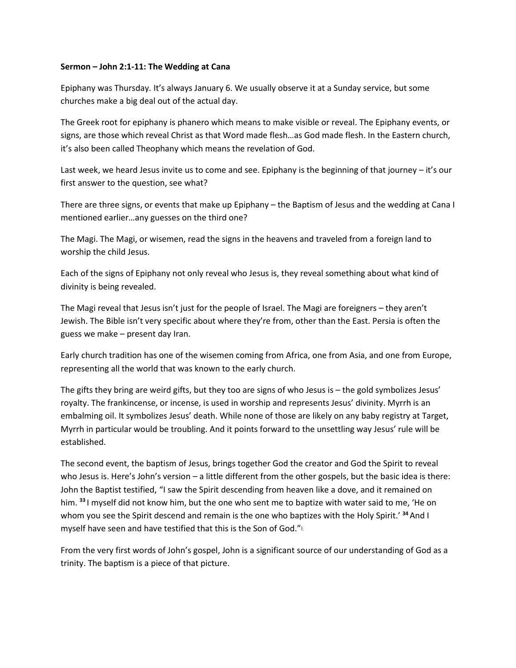## **Sermon – John 2:1-11: The Wedding at Cana**

Epiphany was Thursday. It's always January 6. We usually observe it at a Sunday service, but some churches make a big deal out of the actual day.

The Greek root for epiphany is phanero which means to make visible or reveal. The Epiphany events, or signs, are those which reveal Christ as that Word made flesh…as God made flesh. In the Eastern church, it's also been called Theophany which means the revelation of God.

Last week, we heard Jesus invite us to come and see. Epiphany is the beginning of that journey – it's our first answer to the question, see what?

There are three signs, or events that make up Epiphany – the Baptism of Jesus and the wedding at Cana I mentioned earlier…any guesses on the third one?

The Magi. The Magi, or wisemen, read the signs in the heavens and traveled from a foreign land to worship the child Jesus.

Each of the signs of Epiphany not only reveal who Jesus is, they reveal something about what kind of divinity is being revealed.

The Magi reveal that Jesus isn't just for the people of Israel. The Magi are foreigners – they aren't Jewish. The Bible isn't very specific about where they're from, other than the East. Persia is often the guess we make – present day Iran.

Early church tradition has one of the wisemen coming from Africa, one from Asia, and one from Europe, representing all the world that was known to the early church.

The gifts they bring are weird gifts, but they too are signs of who Jesus is – the gold symbolizes Jesus' royalty. The frankincense, or incense, is used in worship and represents Jesus' divinity. Myrrh is an embalming oil. It symbolizes Jesus' death. While none of those are likely on any baby registry at Target, Myrrh in particular would be troubling. And it points forward to the unsettling way Jesus' rule will be established.

The second event, the baptism of Jesus, brings together God the creator and God the Spirit to reveal who Jesus is. Here's John's version – a little different from the other gospels, but the basic idea is there: John the Baptist testified, "I saw the Spirit descending from heaven like a dove, and it remained on him. **<sup>33</sup>** I myself did not know him, but the one who sent me to baptize with water said to me, 'He on whom you see the Spirit descend and remain is the one who baptizes with the Holy Spirit.' **<sup>34</sup>**And I myself have seen and have testified that this is the Son of God.["](https://www.biblegateway.com/passage/?search=john+1&version=NRSV#fen-NRSV-26069i)<sup>[1]</sup>

From the very first words of John's gospel, John is a significant source of our understanding of God as a trinity. The baptism is a piece of that picture.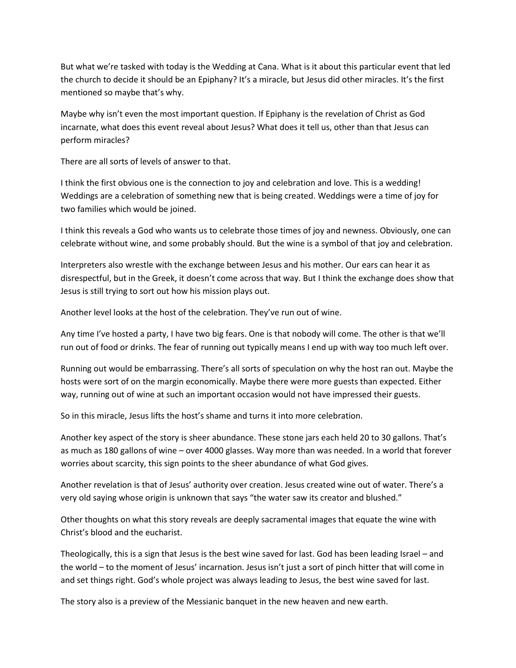But what we're tasked with today is the Wedding at Cana. What is it about this particular event that led the church to decide it should be an Epiphany? It's a miracle, but Jesus did other miracles. It's the first mentioned so maybe that's why.

Maybe why isn't even the most important question. If Epiphany is the revelation of Christ as God incarnate, what does this event reveal about Jesus? What does it tell us, other than that Jesus can perform miracles?

There are all sorts of levels of answer to that.

I think the first obvious one is the connection to joy and celebration and love. This is a wedding! Weddings are a celebration of something new that is being created. Weddings were a time of joy for two families which would be joined.

I think this reveals a God who wants us to celebrate those times of joy and newness. Obviously, one can celebrate without wine, and some probably should. But the wine is a symbol of that joy and celebration.

Interpreters also wrestle with the exchange between Jesus and his mother. Our ears can hear it as disrespectful, but in the Greek, it doesn't come across that way. But I think the exchange does show that Jesus is still trying to sort out how his mission plays out.

Another level looks at the host of the celebration. They've run out of wine.

Any time I've hosted a party, I have two big fears. One is that nobody will come. The other is that we'll run out of food or drinks. The fear of running out typically means I end up with way too much left over.

Running out would be embarrassing. There's all sorts of speculation on why the host ran out. Maybe the hosts were sort of on the margin economically. Maybe there were more guests than expected. Either way, running out of wine at such an important occasion would not have impressed their guests.

So in this miracle, Jesus lifts the host's shame and turns it into more celebration.

Another key aspect of the story is sheer abundance. These stone jars each held 20 to 30 gallons. That's as much as 180 gallons of wine – over 4000 glasses. Way more than was needed. In a world that forever worries about scarcity, this sign points to the sheer abundance of what God gives.

Another revelation is that of Jesus' authority over creation. Jesus created wine out of water. There's a very old saying whose origin is unknown that says "the water saw its creator and blushed."

Other thoughts on what this story reveals are deeply sacramental images that equate the wine with Christ's blood and the eucharist.

Theologically, this is a sign that Jesus is the best wine saved for last. God has been leading Israel – and the world – to the moment of Jesus' incarnation. Jesus isn't just a sort of pinch hitter that will come in and set things right. God's whole project was always leading to Jesus, the best wine saved for last.

The story also is a preview of the Messianic banquet in the new heaven and new earth.